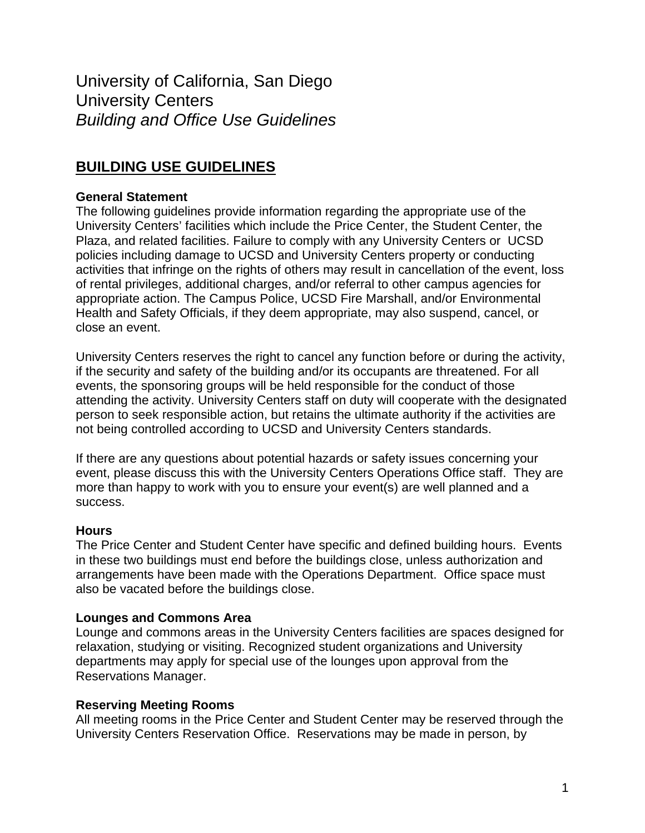University of California, San Diego University Centers *Building and Office Use Guidelines* 

# **BUILDING USE GUIDELINES**

### **General Statement**

The following guidelines provide information regarding the appropriate use of the University Centers' facilities which include the Price Center, the Student Center, the Plaza, and related facilities. Failure to comply with any University Centers or UCSD policies including damage to UCSD and University Centers property or conducting activities that infringe on the rights of others may result in cancellation of the event, loss of rental privileges, additional charges, and/or referral to other campus agencies for appropriate action. The Campus Police, UCSD Fire Marshall, and/or Environmental Health and Safety Officials, if they deem appropriate, may also suspend, cancel, or close an event.

University Centers reserves the right to cancel any function before or during the activity, if the security and safety of the building and/or its occupants are threatened. For all events, the sponsoring groups will be held responsible for the conduct of those attending the activity. University Centers staff on duty will cooperate with the designated person to seek responsible action, but retains the ultimate authority if the activities are not being controlled according to UCSD and University Centers standards.

If there are any questions about potential hazards or safety issues concerning your event, please discuss this with the University Centers Operations Office staff. They are more than happy to work with you to ensure your event(s) are well planned and a success.

#### **Hours**

The Price Center and Student Center have specific and defined building hours. Events in these two buildings must end before the buildings close, unless authorization and arrangements have been made with the Operations Department. Office space must also be vacated before the buildings close.

#### **Lounges and Commons Area**

Lounge and commons areas in the University Centers facilities are spaces designed for relaxation, studying or visiting. Recognized student organizations and University departments may apply for special use of the lounges upon approval from the Reservations Manager.

#### **Reserving Meeting Rooms**

All meeting rooms in the Price Center and Student Center may be reserved through the University Centers Reservation Office. Reservations may be made in person, by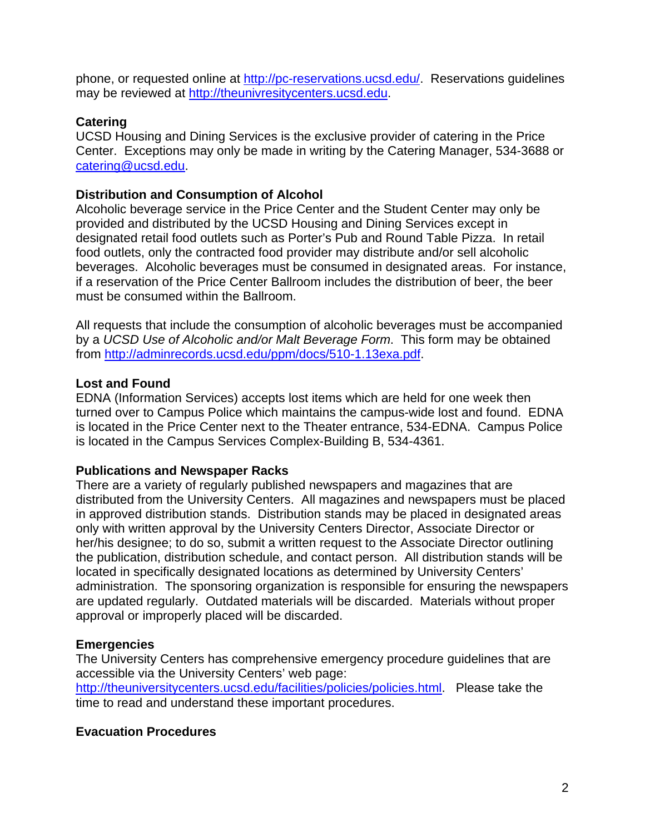phone, or requested online at [http://pc-reservations.ucsd.edu/.](http://pc-reservations.ucsd.edu/) Reservations quidelines may be reviewed at [http://theunivresitycenters.ucsd.edu](http://theunivresitycenters.ucsd.edu/).

### **Catering**

UCSD Housing and Dining Services is the exclusive provider of catering in the Price Center. Exceptions may only be made in writing by the Catering Manager, 534-3688 or [catering@ucsd.edu.](mailto:catering@ucsd.edu)

# **Distribution and Consumption of Alcohol**

Alcoholic beverage service in the Price Center and the Student Center may only be provided and distributed by the UCSD Housing and Dining Services except in designated retail food outlets such as Porter's Pub and Round Table Pizza. In retail food outlets, only the contracted food provider may distribute and/or sell alcoholic beverages. Alcoholic beverages must be consumed in designated areas. For instance, if a reservation of the Price Center Ballroom includes the distribution of beer, the beer must be consumed within the Ballroom.

All requests that include the consumption of alcoholic beverages must be accompanied by a *UCSD Use of Alcoholic and/or Malt Beverage Form*. This form may be obtained from<http://adminrecords.ucsd.edu/ppm/docs/510-1.13exa.pdf>.

# **Lost and Found**

EDNA (Information Services) accepts lost items which are held for one week then turned over to Campus Police which maintains the campus-wide lost and found. EDNA is located in the Price Center next to the Theater entrance, 534-EDNA. Campus Police is located in the Campus Services Complex-Building B, 534-4361.

### **Publications and Newspaper Racks**

There are a variety of regularly published newspapers and magazines that are distributed from the University Centers. All magazines and newspapers must be placed in approved distribution stands. Distribution stands may be placed in designated areas only with written approval by the University Centers Director, Associate Director or her/his designee; to do so, submit a written request to the Associate Director outlining the publication, distribution schedule, and contact person. All distribution stands will be located in specifically designated locations as determined by University Centers' administration. The sponsoring organization is responsible for ensuring the newspapers are updated regularly. Outdated materials will be discarded. Materials without proper approval or improperly placed will be discarded.

### **Emergencies**

The University Centers has comprehensive emergency procedure guidelines that are accessible via the University Centers' web page:

[http://theuniversitycenters.ucsd.edu/facilities/policies/policies.html.](http://theuniversitycenters.ucsd.edu/facilities/policies/policies.html) Please take the time to read and understand these important procedures.

### **Evacuation Procedures**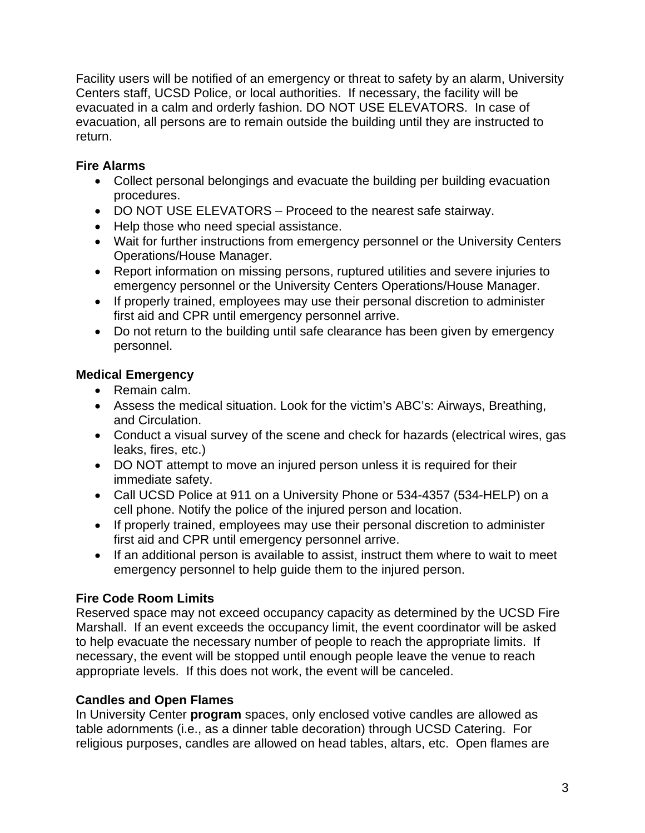Facility users will be notified of an emergency or threat to safety by an alarm, University Centers staff, UCSD Police, or local authorities. If necessary, the facility will be evacuated in a calm and orderly fashion. DO NOT USE ELEVATORS. In case of evacuation, all persons are to remain outside the building until they are instructed to return.

# **Fire Alarms**

- Collect personal belongings and evacuate the building per building evacuation procedures.
- DO NOT USE ELEVATORS Proceed to the nearest safe stairway.
- Help those who need special assistance.
- Wait for further instructions from emergency personnel or the University Centers Operations/House Manager.
- Report information on missing persons, ruptured utilities and severe injuries to emergency personnel or the University Centers Operations/House Manager.
- If properly trained, employees may use their personal discretion to administer first aid and CPR until emergency personnel arrive.
- Do not return to the building until safe clearance has been given by emergency personnel.

# **Medical Emergency**

- Remain calm.
- Assess the medical situation. Look for the victim's ABC's: Airways, Breathing, and Circulation.
- Conduct a visual survey of the scene and check for hazards (electrical wires, gas leaks, fires, etc.)
- DO NOT attempt to move an injured person unless it is required for their immediate safety.
- Call UCSD Police at 911 on a University Phone or 534-4357 (534-HELP) on a cell phone. Notify the police of the injured person and location.
- If properly trained, employees may use their personal discretion to administer first aid and CPR until emergency personnel arrive.
- If an additional person is available to assist, instruct them where to wait to meet emergency personnel to help guide them to the injured person.

# **Fire Code Room Limits**

Reserved space may not exceed occupancy capacity as determined by the UCSD Fire Marshall. If an event exceeds the occupancy limit, the event coordinator will be asked to help evacuate the necessary number of people to reach the appropriate limits. If necessary, the event will be stopped until enough people leave the venue to reach appropriate levels. If this does not work, the event will be canceled.

# **Candles and Open Flames**

In University Center **program** spaces, only enclosed votive candles are allowed as table adornments (i.e., as a dinner table decoration) through UCSD Catering. For religious purposes, candles are allowed on head tables, altars, etc. Open flames are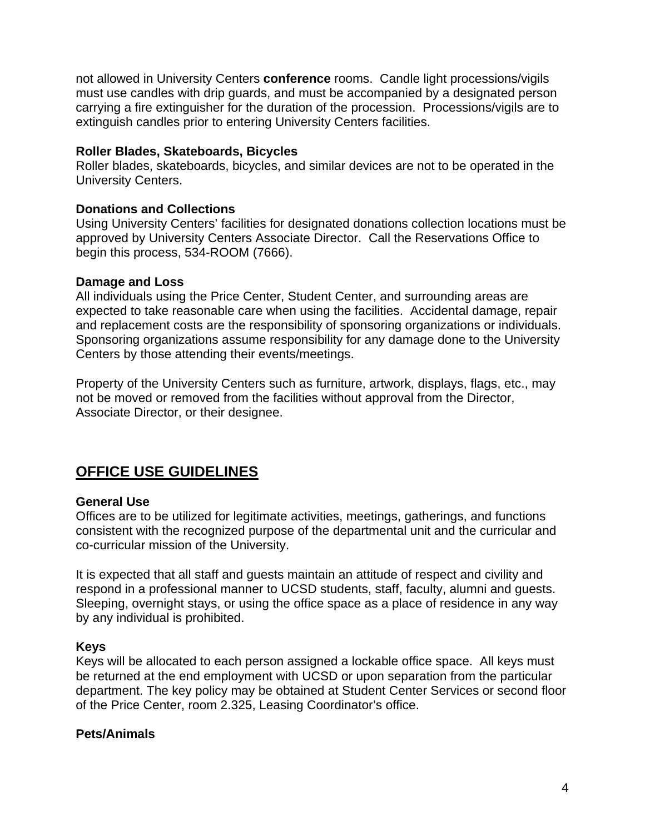not allowed in University Centers **conference** rooms. Candle light processions/vigils must use candles with drip guards, and must be accompanied by a designated person carrying a fire extinguisher for the duration of the procession. Processions/vigils are to extinguish candles prior to entering University Centers facilities.

### **Roller Blades, Skateboards, Bicycles**

Roller blades, skateboards, bicycles, and similar devices are not to be operated in the University Centers.

### **Donations and Collections**

Using University Centers' facilities for designated donations collection locations must be approved by University Centers Associate Director. Call the Reservations Office to begin this process, 534-ROOM (7666).

# **Damage and Loss**

All individuals using the Price Center, Student Center, and surrounding areas are expected to take reasonable care when using the facilities. Accidental damage, repair and replacement costs are the responsibility of sponsoring organizations or individuals. Sponsoring organizations assume responsibility for any damage done to the University Centers by those attending their events/meetings.

Property of the University Centers such as furniture, artwork, displays, flags, etc., may not be moved or removed from the facilities without approval from the Director, Associate Director, or their designee.

# **OFFICE USE GUIDELINES**

# **General Use**

Offices are to be utilized for legitimate activities, meetings, gatherings, and functions consistent with the recognized purpose of the departmental unit and the curricular and co-curricular mission of the University.

It is expected that all staff and guests maintain an attitude of respect and civility and respond in a professional manner to UCSD students, staff, faculty, alumni and guests. Sleeping, overnight stays, or using the office space as a place of residence in any way by any individual is prohibited.

# **Keys**

Keys will be allocated to each person assigned a lockable office space. All keys must be returned at the end employment with UCSD or upon separation from the particular department. The key policy may be obtained at Student Center Services or second floor of the Price Center, room 2.325, Leasing Coordinator's office.

### **Pets/Animals**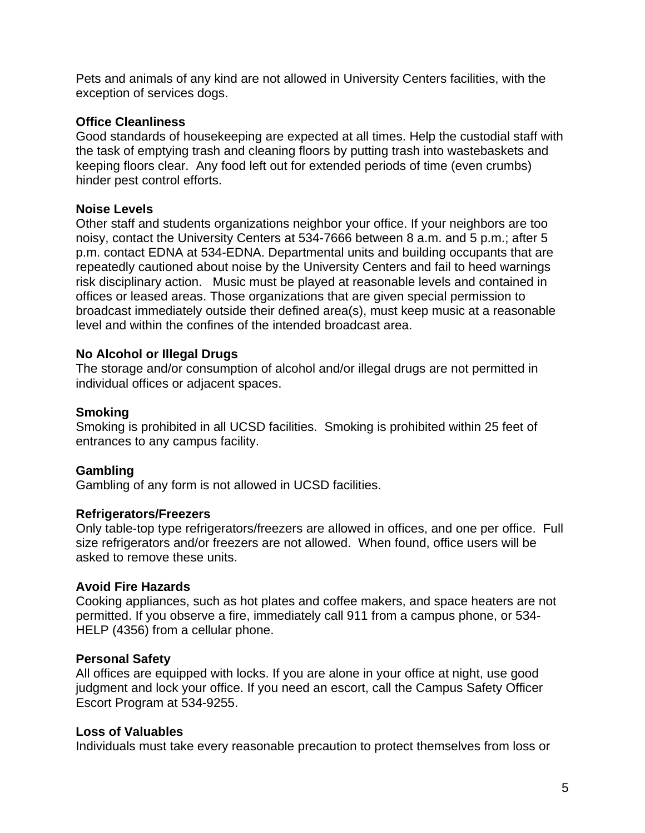Pets and animals of any kind are not allowed in University Centers facilities, with the exception of services dogs.

### **Office Cleanliness**

Good standards of housekeeping are expected at all times. Help the custodial staff with the task of emptying trash and cleaning floors by putting trash into wastebaskets and keeping floors clear. Any food left out for extended periods of time (even crumbs) hinder pest control efforts.

### **Noise Levels**

Other staff and students organizations neighbor your office. If your neighbors are too noisy, contact the University Centers at 534-7666 between 8 a.m. and 5 p.m.; after 5 p.m. contact EDNA at 534-EDNA. Departmental units and building occupants that are repeatedly cautioned about noise by the University Centers and fail to heed warnings risk disciplinary action. Music must be played at reasonable levels and contained in offices or leased areas. Those organizations that are given special permission to broadcast immediately outside their defined area(s), must keep music at a reasonable level and within the confines of the intended broadcast area.

### **No Alcohol or Illegal Drugs**

The storage and/or consumption of alcohol and/or illegal drugs are not permitted in individual offices or adjacent spaces.

### **Smoking**

Smoking is prohibited in all UCSD facilities. Smoking is prohibited within 25 feet of entrances to any campus facility.

### **Gambling**

Gambling of any form is not allowed in UCSD facilities.

### **Refrigerators/Freezers**

Only table-top type refrigerators/freezers are allowed in offices, and one per office. Full size refrigerators and/or freezers are not allowed. When found, office users will be asked to remove these units.

### **Avoid Fire Hazards**

Cooking appliances, such as hot plates and coffee makers, and space heaters are not permitted. If you observe a fire, immediately call 911 from a campus phone, or 534- HELP (4356) from a cellular phone.

### **Personal Safety**

All offices are equipped with locks. If you are alone in your office at night, use good judgment and lock your office. If you need an escort, call the Campus Safety Officer Escort Program at 534-9255.

#### **Loss of Valuables**

Individuals must take every reasonable precaution to protect themselves from loss or